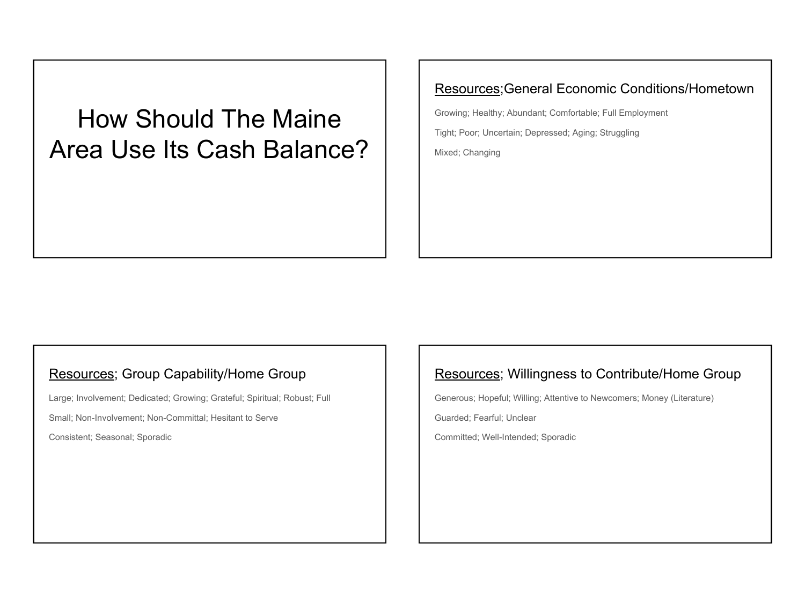How Should The Maine Area Use Its Cash Balance?

### Resources;General Economic Conditions/Hometown

Growing; Healthy; Abundant; Comfortable; Full Employment Tight; Poor; Uncertain; Depressed; Aging; Struggling Mixed; Changing

### Resources; Group Capability/Home Group

Large; Involvement; Dedicated; Growing; Grateful; Spiritual; Robust; Full

Small; Non-Involvement; Non-Committal; Hesitant to Serve

Consistent; Seasonal; Sporadic

### Resources; Willingness to Contribute/Home Group

Generous; Hopeful; Willing; Attentive to Newcomers; Money (Literature)

Guarded; Fearful; Unclear

Committed; Well-Intended; Sporadic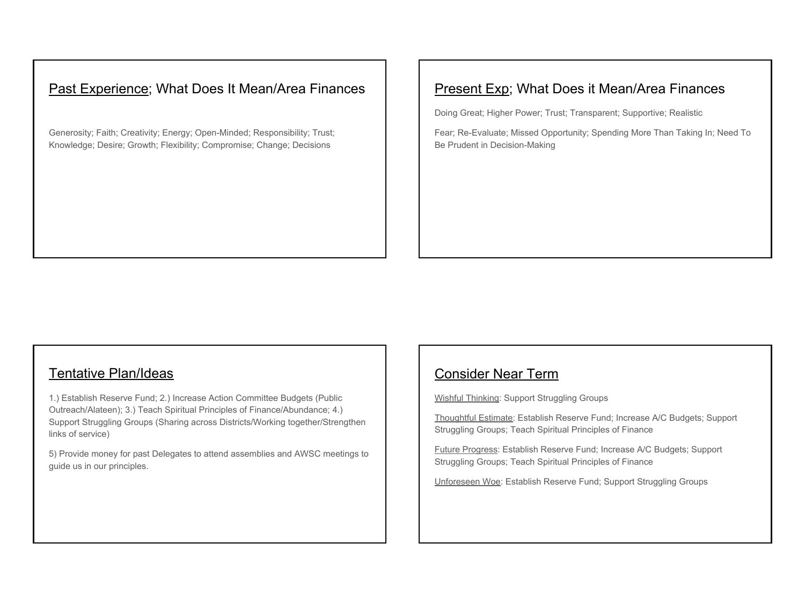# Past Experience; What Does It Mean/Area Finances

Generosity; Faith; Creativity; Energy; Open-Minded; Responsibility; Trust; Knowledge; Desire; Growth; Flexibility; Compromise; Change; Decisions

# Present Exp; What Does it Mean/Area Finances

Doing Great; Higher Power; Trust; Transparent; Supportive; Realistic

Fear; Re-Evaluate; Missed Opportunity; Spending More Than Taking In; Need To Be Prudent in Decision-Making

#### Tentative Plan/Ideas

1.) Establish Reserve Fund; 2.) Increase Action Committee Budgets (Public Outreach/Alateen); 3.) Teach Spiritual Principles of Finance/Abundance; 4.) Support Struggling Groups (Sharing across Districts/Working together/Strengthen links of service)

5) Provide money for past Delegates to attend assemblies and AWSC meetings to guide us in our principles.

### Consider Near Term

Wishful Thinking: Support Struggling Groups

Thoughtful Estimate: Establish Reserve Fund; Increase A/C Budgets; Support Struggling Groups; Teach Spiritual Principles of Finance

Future Progress: Establish Reserve Fund; Increase A/C Budgets; Support Struggling Groups; Teach Spiritual Principles of Finance

Unforeseen Woe: Establish Reserve Fund; Support Struggling Groups